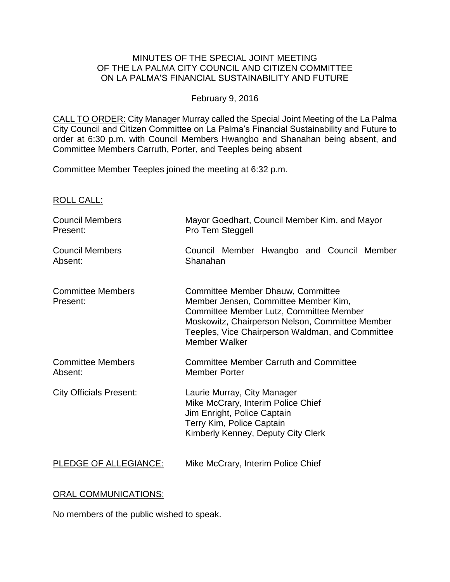# MINUTES OF THE SPECIAL JOINT MEETING OF THE LA PALMA CITY COUNCIL AND CITIZEN COMMITTEE ON LA PALMA'S FINANCIAL SUSTAINABILITY AND FUTURE

### February 9, 2016

CALL TO ORDER: City Manager Murray called the Special Joint Meeting of the La Palma City Council and Citizen Committee on La Palma's Financial Sustainability and Future to order at 6:30 p.m. with Council Members Hwangbo and Shanahan being absent, and Committee Members Carruth, Porter, and Teeples being absent

Committee Member Teeples joined the meeting at 6:32 p.m.

ROLL CALL:

| <b>Council Members</b>               | Mayor Goedhart, Council Member Kim, and Mayor                                                                                                                                                                                                       |
|--------------------------------------|-----------------------------------------------------------------------------------------------------------------------------------------------------------------------------------------------------------------------------------------------------|
| Present:                             | Pro Tem Steggell                                                                                                                                                                                                                                    |
| <b>Council Members</b>               | Council Member Hwangbo and Council Member                                                                                                                                                                                                           |
| Absent:                              | Shanahan                                                                                                                                                                                                                                            |
| <b>Committee Members</b><br>Present: | Committee Member Dhauw, Committee<br>Member Jensen, Committee Member Kim,<br>Committee Member Lutz, Committee Member<br>Moskowitz, Chairperson Nelson, Committee Member<br>Teeples, Vice Chairperson Waldman, and Committee<br><b>Member Walker</b> |
| <b>Committee Members</b>             | <b>Committee Member Carruth and Committee</b>                                                                                                                                                                                                       |
| Absent:                              | <b>Member Porter</b>                                                                                                                                                                                                                                |
| <b>City Officials Present:</b>       | Laurie Murray, City Manager<br>Mike McCrary, Interim Police Chief<br>Jim Enright, Police Captain<br>Terry Kim, Police Captain<br>Kimberly Kenney, Deputy City Clerk                                                                                 |
| PLEDGE OF ALLEGIANCE:                | Mike McCrary, Interim Police Chief                                                                                                                                                                                                                  |

# ORAL COMMUNICATIONS:

No members of the public wished to speak.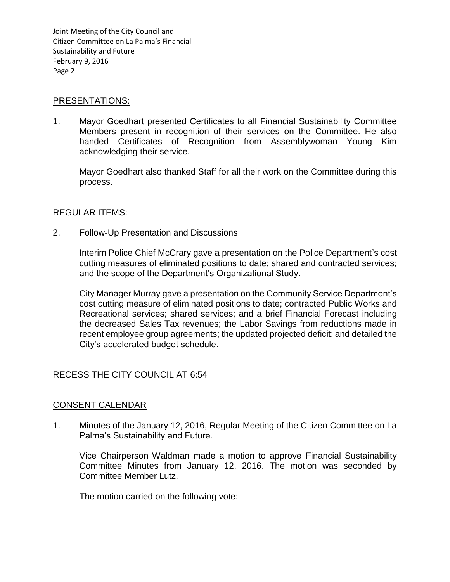#### PRESENTATIONS:

1. Mayor Goedhart presented Certificates to all Financial Sustainability Committee Members present in recognition of their services on the Committee. He also handed Certificates of Recognition from Assemblywoman Young Kim acknowledging their service.

Mayor Goedhart also thanked Staff for all their work on the Committee during this process.

### REGULAR ITEMS:

2. Follow-Up Presentation and Discussions

Interim Police Chief McCrary gave a presentation on the Police Department's cost cutting measures of eliminated positions to date; shared and contracted services; and the scope of the Department's Organizational Study.

City Manager Murray gave a presentation on the Community Service Department's cost cutting measure of eliminated positions to date; contracted Public Works and Recreational services; shared services; and a brief Financial Forecast including the decreased Sales Tax revenues; the Labor Savings from reductions made in recent employee group agreements; the updated projected deficit; and detailed the City's accelerated budget schedule.

# RECESS THE CITY COUNCIL AT 6:54

# CONSENT CALENDAR

1. Minutes of the January 12, 2016, Regular Meeting of the Citizen Committee on La Palma's Sustainability and Future.

Vice Chairperson Waldman made a motion to approve Financial Sustainability Committee Minutes from January 12, 2016. The motion was seconded by Committee Member Lutz.

The motion carried on the following vote: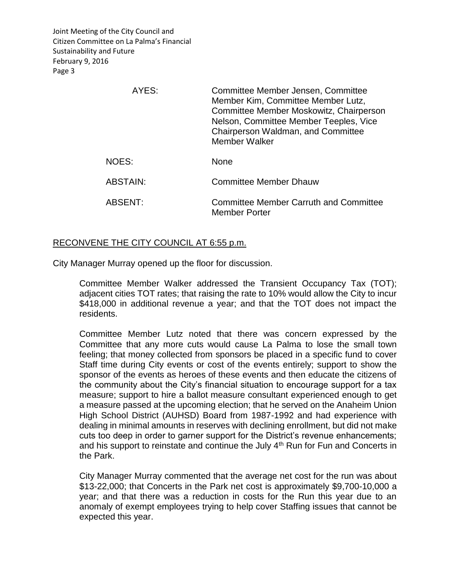| AYES:           | Committee Member Jensen, Committee<br>Member Kim, Committee Member Lutz,<br>Committee Member Moskowitz, Chairperson<br>Nelson, Committee Member Teeples, Vice<br>Chairperson Waldman, and Committee<br>Member Walker |
|-----------------|----------------------------------------------------------------------------------------------------------------------------------------------------------------------------------------------------------------------|
| NOES:           | <b>None</b>                                                                                                                                                                                                          |
| <b>ABSTAIN:</b> | <b>Committee Member Dhauw</b>                                                                                                                                                                                        |
| ABSENT:         | <b>Committee Member Carruth and Committee</b><br><b>Member Porter</b>                                                                                                                                                |

# RECONVENE THE CITY COUNCIL AT 6:55 p.m.

City Manager Murray opened up the floor for discussion.

Committee Member Walker addressed the Transient Occupancy Tax (TOT); adjacent cities TOT rates; that raising the rate to 10% would allow the City to incur \$418,000 in additional revenue a year; and that the TOT does not impact the residents.

Committee Member Lutz noted that there was concern expressed by the Committee that any more cuts would cause La Palma to lose the small town feeling; that money collected from sponsors be placed in a specific fund to cover Staff time during City events or cost of the events entirely; support to show the sponsor of the events as heroes of these events and then educate the citizens of the community about the City's financial situation to encourage support for a tax measure; support to hire a ballot measure consultant experienced enough to get a measure passed at the upcoming election; that he served on the Anaheim Union High School District (AUHSD) Board from 1987-1992 and had experience with dealing in minimal amounts in reserves with declining enrollment, but did not make cuts too deep in order to garner support for the District's revenue enhancements; and his support to reinstate and continue the July 4<sup>th</sup> Run for Fun and Concerts in the Park.

City Manager Murray commented that the average net cost for the run was about \$13-22,000; that Concerts in the Park net cost is approximately \$9,700-10,000 a year; and that there was a reduction in costs for the Run this year due to an anomaly of exempt employees trying to help cover Staffing issues that cannot be expected this year.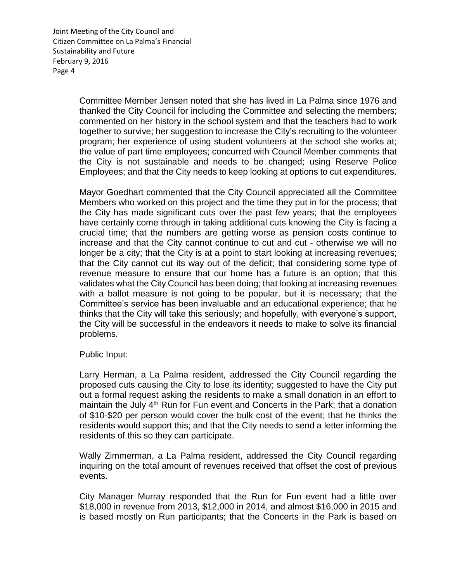> Committee Member Jensen noted that she has lived in La Palma since 1976 and thanked the City Council for including the Committee and selecting the members; commented on her history in the school system and that the teachers had to work together to survive; her suggestion to increase the City's recruiting to the volunteer program; her experience of using student volunteers at the school she works at; the value of part time employees; concurred with Council Member comments that the City is not sustainable and needs to be changed; using Reserve Police Employees; and that the City needs to keep looking at options to cut expenditures.

> Mayor Goedhart commented that the City Council appreciated all the Committee Members who worked on this project and the time they put in for the process; that the City has made significant cuts over the past few years; that the employees have certainly come through in taking additional cuts knowing the City is facing a crucial time; that the numbers are getting worse as pension costs continue to increase and that the City cannot continue to cut and cut - otherwise we will no longer be a city; that the City is at a point to start looking at increasing revenues; that the City cannot cut its way out of the deficit; that considering some type of revenue measure to ensure that our home has a future is an option; that this validates what the City Council has been doing; that looking at increasing revenues with a ballot measure is not going to be popular, but it is necessary; that the Committee's service has been invaluable and an educational experience; that he thinks that the City will take this seriously; and hopefully, with everyone's support, the City will be successful in the endeavors it needs to make to solve its financial problems.

Public Input:

Larry Herman, a La Palma resident, addressed the City Council regarding the proposed cuts causing the City to lose its identity; suggested to have the City put out a formal request asking the residents to make a small donation in an effort to maintain the July 4<sup>th</sup> Run for Fun event and Concerts in the Park; that a donation of \$10-\$20 per person would cover the bulk cost of the event; that he thinks the residents would support this; and that the City needs to send a letter informing the residents of this so they can participate.

Wally Zimmerman, a La Palma resident, addressed the City Council regarding inquiring on the total amount of revenues received that offset the cost of previous events.

City Manager Murray responded that the Run for Fun event had a little over \$18,000 in revenue from 2013, \$12,000 in 2014, and almost \$16,000 in 2015 and is based mostly on Run participants; that the Concerts in the Park is based on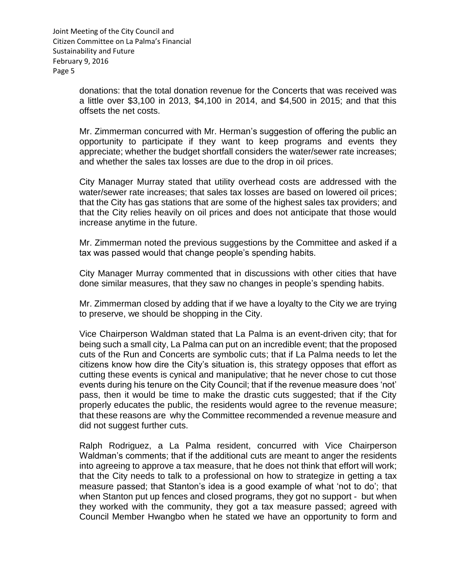> donations: that the total donation revenue for the Concerts that was received was a little over \$3,100 in 2013, \$4,100 in 2014, and \$4,500 in 2015; and that this offsets the net costs.

> Mr. Zimmerman concurred with Mr. Herman's suggestion of offering the public an opportunity to participate if they want to keep programs and events they appreciate; whether the budget shortfall considers the water/sewer rate increases; and whether the sales tax losses are due to the drop in oil prices.

> City Manager Murray stated that utility overhead costs are addressed with the water/sewer rate increases; that sales tax losses are based on lowered oil prices; that the City has gas stations that are some of the highest sales tax providers; and that the City relies heavily on oil prices and does not anticipate that those would increase anytime in the future.

> Mr. Zimmerman noted the previous suggestions by the Committee and asked if a tax was passed would that change people's spending habits.

> City Manager Murray commented that in discussions with other cities that have done similar measures, that they saw no changes in people's spending habits.

> Mr. Zimmerman closed by adding that if we have a loyalty to the City we are trying to preserve, we should be shopping in the City.

> Vice Chairperson Waldman stated that La Palma is an event-driven city; that for being such a small city, La Palma can put on an incredible event; that the proposed cuts of the Run and Concerts are symbolic cuts; that if La Palma needs to let the citizens know how dire the City's situation is, this strategy opposes that effort as cutting these events is cynical and manipulative; that he never chose to cut those events during his tenure on the City Council; that if the revenue measure does 'not' pass, then it would be time to make the drastic cuts suggested; that if the City properly educates the public, the residents would agree to the revenue measure; that these reasons are why the Committee recommended a revenue measure and did not suggest further cuts.

> Ralph Rodriguez, a La Palma resident, concurred with Vice Chairperson Waldman's comments; that if the additional cuts are meant to anger the residents into agreeing to approve a tax measure, that he does not think that effort will work; that the City needs to talk to a professional on how to strategize in getting a tax measure passed; that Stanton's idea is a good example of what 'not to do'; that when Stanton put up fences and closed programs, they got no support - but when they worked with the community, they got a tax measure passed; agreed with Council Member Hwangbo when he stated we have an opportunity to form and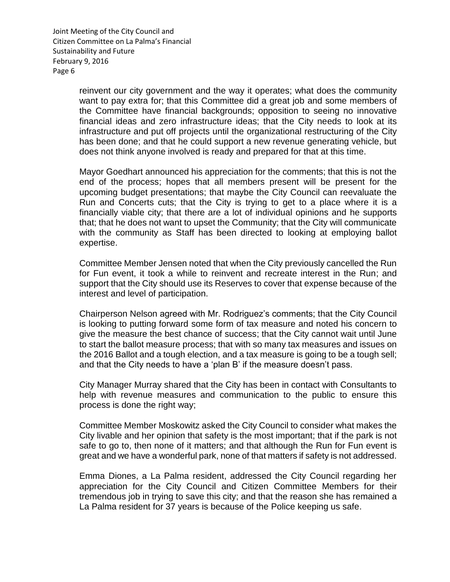> reinvent our city government and the way it operates; what does the community want to pay extra for; that this Committee did a great job and some members of the Committee have financial backgrounds; opposition to seeing no innovative financial ideas and zero infrastructure ideas; that the City needs to look at its infrastructure and put off projects until the organizational restructuring of the City has been done; and that he could support a new revenue generating vehicle, but does not think anyone involved is ready and prepared for that at this time.

> Mayor Goedhart announced his appreciation for the comments; that this is not the end of the process; hopes that all members present will be present for the upcoming budget presentations; that maybe the City Council can reevaluate the Run and Concerts cuts; that the City is trying to get to a place where it is a financially viable city; that there are a lot of individual opinions and he supports that; that he does not want to upset the Community; that the City will communicate with the community as Staff has been directed to looking at employing ballot expertise.

> Committee Member Jensen noted that when the City previously cancelled the Run for Fun event, it took a while to reinvent and recreate interest in the Run; and support that the City should use its Reserves to cover that expense because of the interest and level of participation.

> Chairperson Nelson agreed with Mr. Rodriguez's comments; that the City Council is looking to putting forward some form of tax measure and noted his concern to give the measure the best chance of success; that the City cannot wait until June to start the ballot measure process; that with so many tax measures and issues on the 2016 Ballot and a tough election, and a tax measure is going to be a tough sell; and that the City needs to have a 'plan B' if the measure doesn't pass.

> City Manager Murray shared that the City has been in contact with Consultants to help with revenue measures and communication to the public to ensure this process is done the right way;

> Committee Member Moskowitz asked the City Council to consider what makes the City livable and her opinion that safety is the most important; that if the park is not safe to go to, then none of it matters; and that although the Run for Fun event is great and we have a wonderful park, none of that matters if safety is not addressed.

> Emma Diones, a La Palma resident, addressed the City Council regarding her appreciation for the City Council and Citizen Committee Members for their tremendous job in trying to save this city; and that the reason she has remained a La Palma resident for 37 years is because of the Police keeping us safe.